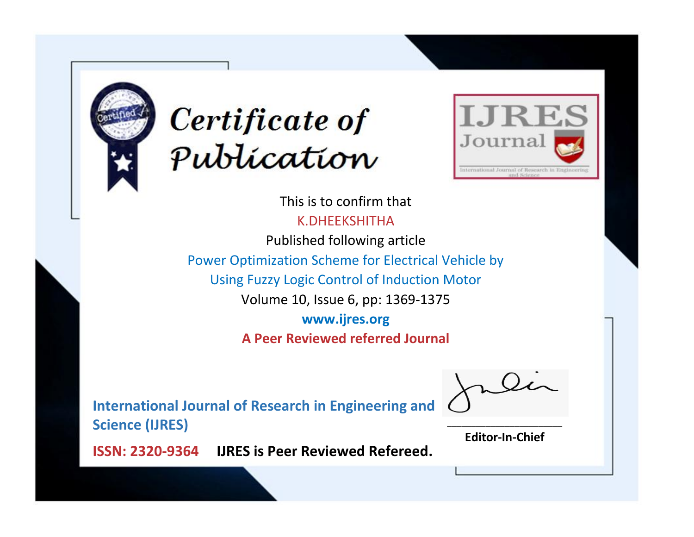



This is to confirm that K.DHEEKSHITHA Published following article

Power Optimization Scheme for Electrical Vehicle by

Using Fuzzy Logic Control of Induction Motor

Volume 10, Issue 6, pp: 1369-1375

**www.ijres.org**

**A Peer Reviewed referred Journal**

**International Journal of Research in Engineering and Science (IJRES)**

\_\_\_\_\_\_\_\_\_\_\_\_\_\_\_\_\_\_\_\_\_\_\_\_ **Editor-In-Chief**

**Journal.**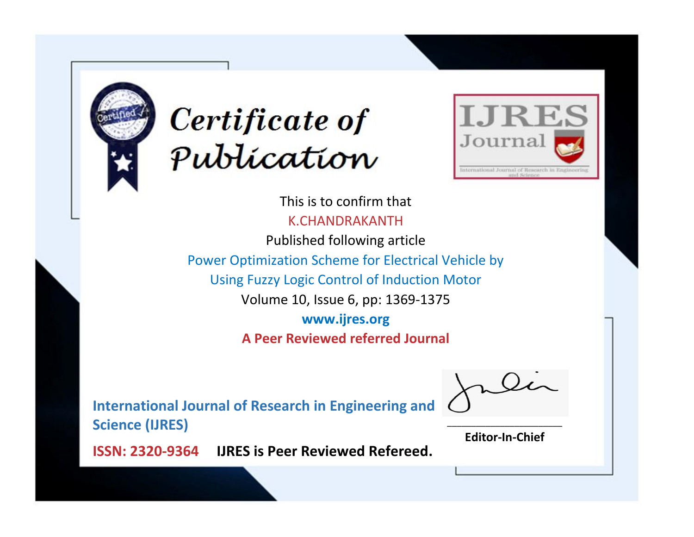



This is to confirm that K.CHANDRAKANTH Published following article

Power Optimization Scheme for Electrical Vehicle by

Using Fuzzy Logic Control of Induction Motor

Volume 10, Issue 6, pp: 1369-1375

**www.ijres.org**

**A Peer Reviewed referred Journal**

**International Journal of Research in Engineering and Science (IJRES)**

\_\_\_\_\_\_\_\_\_\_\_\_\_\_\_\_\_\_\_\_\_\_\_\_ **Editor-In-Chief**

**Journal.**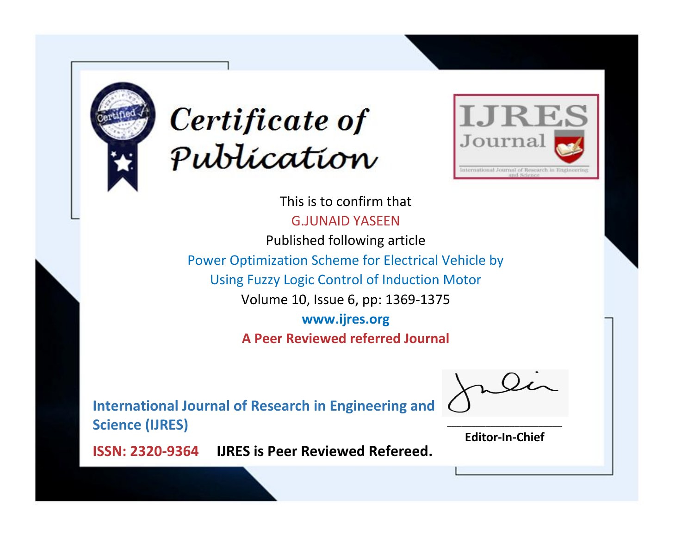



This is to confirm that G.JUNAID YASEEN Published following article Power Optimization Scheme for Electrical Vehicle by Using Fuzzy Logic Control of Induction Motor Volume 10, Issue 6, pp: 1369-1375 **www.ijres.org A Peer Reviewed referred Journal**

**International Journal of Research in Engineering and Science (IJRES)**

\_\_\_\_\_\_\_\_\_\_\_\_\_\_\_\_\_\_\_\_\_\_\_\_ **Editor-In-Chief**

**Journal.**